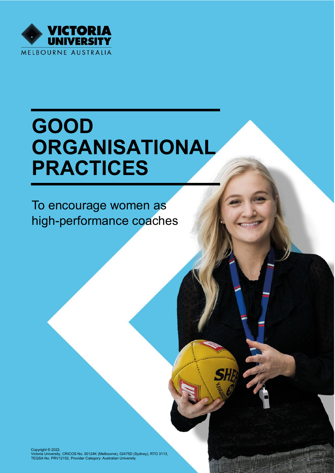

# **GOOD ORGANISATIONAL PRACTICES**

To encourage women as high-performance coaches

Copyright © 2022.<br>Victoria University, CRICOS No. 00124K (Melbourne), 02475D (Sydney), RTO 3113,<br>TEQSA No. PRV12152, Provider Category: Australian University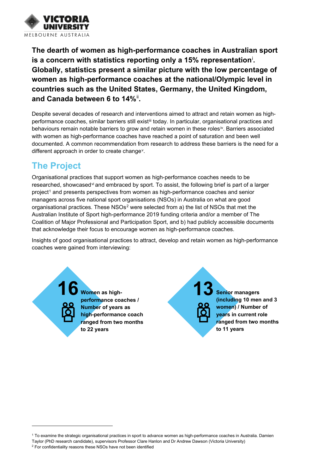

**The dearth of women as high-performance coaches in Australian sport is a concern with statistics reporting only a 15% representation**[i](#page-6-0) **. Globally, statistics present a similar picture with the low percentage of women as high-performance coaches at the national/Olympic level in countries such as the United States, Germany, the United Kingdom, and Canada between 6 to 14%**[ii](#page-6-1) **.**

Despite several decades of research and interventions aimed to attract and retain women as highperformance coaches, similar barriers still exist<sup>[iii](#page-6-2)</sup> today. In particular, organisational practices and behaviours remain notable barriers to grow and retain women in these roles[iv](#page-6-3). Barriers associated with women as high-performance coaches have reached a point of saturation and been well documented. A common recommendation from research to address these barriers is the need for a different approach in order to create change<sup>[v](#page-6-4)</sup>.

# **The Project**

Organisational practices that support women as high-performance coaches needs to be researched, showcased [vi](#page-6-5) and embraced by sport. To assist, the following brief is part of a larger project<sup>[1](#page-1-0)</sup> and presents perspectives from women as high-performance coaches and senior managers across five national sport organisations (NSOs) in Australia on what are good organisational practices. These NSOs<sup>[2](#page-1-1)</sup> were selected from a) the list of NSOs that met the Australian Institute of Sport high-performance 2019 funding criteria and/or a member of The Coalition of Major Professional and Participation Sport, and b) had publicly accessible documents that acknowledge their focus to encourage women as high-performance coaches.

Insights of good organisational practices to attract, develop and retain women as high-performance coaches were gained from interviewing:

> **16 Women as highperformance coaches / Number of years as high-performance coach ranged from two months to 22 years**

**13 Senior managers (including 10 men and 3 women) / Number of years in current role ranged from two months to 11 years**

<sup>1</sup> To examine the strategic organisational practices in sport to advance women as high-performance coaches in Australia. Damien

<span id="page-1-1"></span><span id="page-1-0"></span>Taylor (PhD research candidate), supervisors Professor Clare Hanlon and Dr Andrew Dawson (Victoria University)

<sup>2</sup> For confidentiality reasons these NSOs have not been identified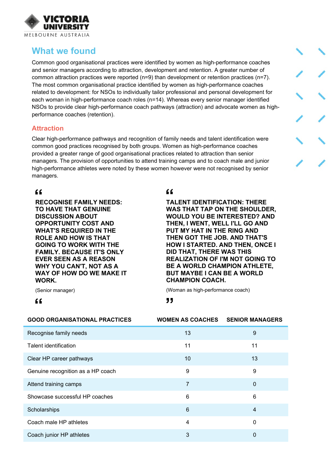

# **What we found**

Common good organisational practices were identified by women as high-performance coaches and senior managers according to attraction, development and retention. A greater number of common attraction practices were reported (n=9) than development or retention practices (n=7). The most common organisational practice identified by women as high-performance coaches related to development: for NSOs to individually tailor professional and personal development for each woman in high-performance coach roles (n=14). Whereas every senior manager identified NSOs to provide clear high-performance coach pathways (attraction) and advocate women as highperformance coaches (retention).

#### **Attraction**

Clear high-performance pathways and recognition of family needs and talent identification were common good practices recognised by both groups. Women as high-performance coaches provided a greater range of good organisational practices related to attraction than senior managers. The provision of opportunities to attend training camps and to coach male and junior high-performance athletes were noted by these women however were not recognised by senior managers.

## $66$

**RECOGNISE FAMILY NEEDS: TO HAVE THAT GENUINE DISCUSSION ABOUT OPPORTUNITY COST AND WHAT'S REQUIRED IN THE ROLE AND HOW IS THAT GOING TO WORK WITH THE FAMILY. BECAUSE IT'S ONLY EVER SEEN AS A REASON WHY YOU CAN'T, NOT AS A WAY OF HOW DO WE MAKE IT WORK.**

 $66$ 

**TALENT IDENTIFICATION: THERE WAS THAT TAP ON THE SHOULDER, WOULD YOU BE INTERESTED? AND THEN, I WENT, WELL I'LL GO AND PUT MY HAT IN THE RING AND THEN GOT THE JOB. AND THAT'S HOW I STARTED. AND THEN, ONCE I DID THAT, THERE WAS THIS REALIZATION OF I'M NOT GOING TO BE A WORLD CHAMPION ATHLETE, BUT MAYBE I CAN BE A WORLD CHAMPION COACH.**

(Woman as high-performance coach)

(Senior manager)

 $66$ 

"

| <b>GOOD ORGANISATIONAL PRACTICES</b> | <b>WOMEN AS COACHES</b> | <b>SENIOR MANAGERS</b> |
|--------------------------------------|-------------------------|------------------------|
| Recognise family needs               | 13                      | 9                      |
| <b>Talent identification</b>         | 11                      | 11                     |
| Clear HP career pathways             | 10                      | 13                     |
| Genuine recognition as a HP coach    | 9                       | 9                      |
| Attend training camps                | $\overline{7}$          | $\mathbf 0$            |
| Showcase successful HP coaches       | 6                       | 6                      |
| Scholarships                         | 6                       | $\overline{4}$         |
| Coach male HP athletes               | 4                       | 0                      |
| Coach junior HP athletes             | 3                       | $\Omega$               |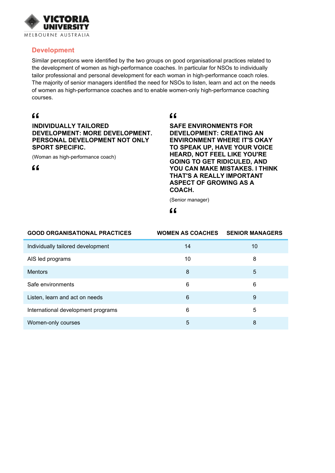

#### **Development**

Similar perceptions were identified by the two groups on good organisational practices related to the development of women as high-performance coaches. In particular for NSOs to individually tailor professional and personal development for each woman in high-performance coach roles. The majority of senior managers identified the need for NSOs to listen, learn and act on the needs of women as high-performance coaches and to enable women-only high-performance coaching courses.

## $66$

**INDIVIDUALLY TAILORED DEVELOPMENT: MORE DEVELOPMENT. PERSONAL DEVELOPMENT NOT ONLY SPORT SPECIFIC.**

(Woman as high-performance coach)

 $66$ 

#### $66$

**SAFE ENVIRONMENTS FOR DEVELOPMENT: CREATING AN ENVIRONMENT WHERE IT'S OKAY TO SPEAK UP, HAVE YOUR VOICE HEARD, NOT FEEL LIKE YOU'RE GOING TO GET RIDICULED, AND YOU CAN MAKE MISTAKES. I THINK THAT'S A REALLY IMPORTANT ASPECT OF GROWING AS A COACH.**

(Senior manager)

#### $66$

| <b>GOOD ORGANISATIONAL PRACTICES</b> | <b>WOMEN AS COACHES</b> | <b>SENIOR MANAGERS</b> |
|--------------------------------------|-------------------------|------------------------|
| Individually tailored development    | 14                      | 10                     |
| AIS led programs                     | 10                      | 8                      |
| <b>Mentors</b>                       | 8                       | 5                      |
| Safe environments                    | 6                       | 6                      |
| Listen, learn and act on needs       | 6                       | 9                      |
| International development programs   | 6                       | 5                      |
| Women-only courses                   | 5                       | 8                      |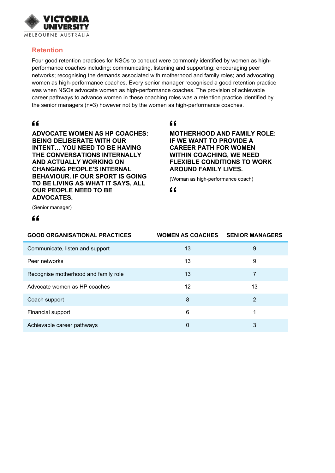

#### **Retention**

Four good retention practices for NSOs to conduct were commonly identified by women as highperformance coaches including: communicating, listening and supporting; encouraging peer networks; recognising the demands associated with motherhood and family roles; and advocating women as high-performance coaches. Every senior manager recognised a good retention practice was when NSOs advocate women as high-performance coaches. The provision of achievable career pathways to advance women in these coaching roles was a retention practice identified by the senior managers (n=3) however not by the women as high-performance coaches.

### $66$

**ADVOCATE WOMEN AS HP COACHES: BEING DELIBERATE WITH OUR INTENT… YOU NEED TO BE HAVING THE CONVERSATIONS INTERNALLY AND ACTUALLY WORKING ON CHANGING PEOPLE'S INTERNAL BEHAVIOUR. IF OUR SPORT IS GOING TO BE LIVING AS WHAT IT SAYS, ALL OUR PEOPLE NEED TO BE ADVOCATES.**

#### $\epsilon$

#### **MOTHERHOOD AND FAMILY ROLE: IF WE WANT TO PROVIDE A CAREER PATH FOR WOMEN WITHIN COACHING, WE NEED FLEXIBLE CONDITIONS TO WORK AROUND FAMILY LIVES.**

(Woman as high-performance coach)

 $66$ 

(Senior manager)

#### $66$

| <b>GOOD ORGANISATIONAL PRACTICES</b> | <b>WOMEN AS COACHES</b> | <b>SENIOR MANAGERS</b> |
|--------------------------------------|-------------------------|------------------------|
| Communicate, listen and support      | 13                      | 9                      |
| Peer networks                        | 13                      | 9                      |
| Recognise motherhood and family role | 13                      | 7                      |
| Advocate women as HP coaches         | 12                      | 13                     |
| Coach support                        | 8                       | 2                      |
| Financial support                    | 6                       |                        |
| Achievable career pathways           | 0                       | 3                      |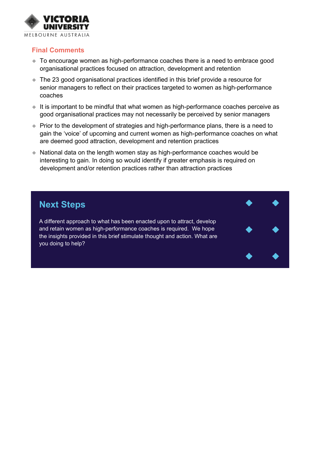

#### **Final Comments**

- ◆ To encourage women as high-performance coaches there is a need to embrace good organisational practices focused on attraction, development and retention
- The 23 good organisational practices identified in this brief provide a resource for senior managers to reflect on their practices targeted to women as high-performance coaches
- $\bullet$  It is important to be mindful that what women as high-performance coaches perceive as good organisational practices may not necessarily be perceived by senior managers
- ♦ Prior to the development of strategies and high-performance plans, there is a need to gain the 'voice' of upcoming and current women as high-performance coaches on what are deemed good attraction, development and retention practices
- National data on the length women stay as high-performance coaches would be interesting to gain. In doing so would identify if greater emphasis is required on development and/or retention practices rather than attraction practices

## **Next Steps**

A different approach to what has been enacted upon to attract, develop and retain women as high-performance coaches is required. We hope the insights provided in this brief stimulate thought and action. What are you doing to help?